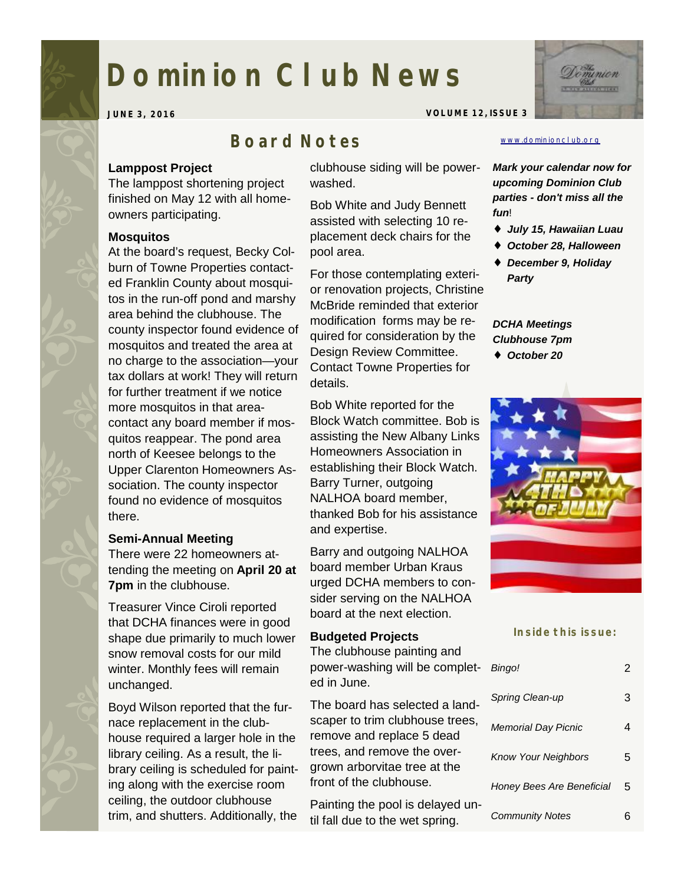# **Dominion Club News**

**JUNE 3, 2016 VOLUME 12, ISSUE 3** 

# *Board Notes*

### **Lamppost Project**

The lamppost shortening project finished on May 12 with all homeowners participating.

## **Mosquitos**

At the board's request, Becky Colburn of Towne Properties contacted Franklin County about mosquitos in the run-off pond and marshy area behind the clubhouse. The county inspector found evidence of mosquitos and treated the area at no charge to the association—your tax dollars at work! They will return for further treatment if we notice more mosquitos in that areacontact any board member if mosquitos reappear. The pond area north of Keesee belongs to the Upper Clarenton Homeowners Association. The county inspector found no evidence of mosquitos there.

# **Semi-Annual Meeting**

There were 22 homeowners attending the meeting on **April 20 at 7pm** in the clubhouse.

Treasurer Vince Ciroli reported that DCHA finances were in good shape due primarily to much lower snow removal costs for our mild winter. Monthly fees will remain unchanged.

Boyd Wilson reported that the furnace replacement in the clubhouse required a larger hole in the library ceiling. As a result, the library ceiling is scheduled for painting along with the exercise room ceiling, the outdoor clubhouse trim, and shutters. Additionally, the

clubhouse siding will be powerwashed.

Bob White and Judy Bennett assisted with selecting 10 replacement deck chairs for the pool area.

For those contemplating exterior renovation projects, Christine McBride reminded that exterior modification forms may be required for consideration by the Design Review Committee. Contact Towne Properties for details.

Bob White reported for the Block Watch committee. Bob is assisting the New Albany Links Homeowners Association in establishing their Block Watch. Barry Turner, outgoing NALHOA board member, thanked Bob for his assistance and expertise.

Barry and outgoing NALHOA board member Urban Kraus urged DCHA members to consider serving on the NALHOA board at the next election.

### **Budgeted Projects**

The clubhouse painting and power-washing will be completed in June.

The board has selected a landscaper to trim clubhouse trees, remove and replace 5 dead trees, and remove the overgrown arborvitae tree at the front of the clubhouse.

Painting the pool is delayed until fall due to the wet spring.

### [www.dominionclub.org](http://www.dominionclub.org)

*Mark your calendar now for upcoming Dominion Club parties - don't miss all the fun*!

- ♦ *July 15, Hawaiian Luau*
- ♦ *October 28, Halloween*
- ♦ *December 9, Holiday Party*

# *DCHA Meetings Clubhouse 7pm*

♦ *October 20* 



### **Inside this issue:**

| Bingo!                     |   |
|----------------------------|---|
| Spring Clean-up            | З |
| <b>Memorial Day Picnic</b> | 4 |
| <b>Know Your Neighbors</b> | 5 |
| Honey Bees Are Beneficial  | 5 |
| <b>Community Notes</b>     |   |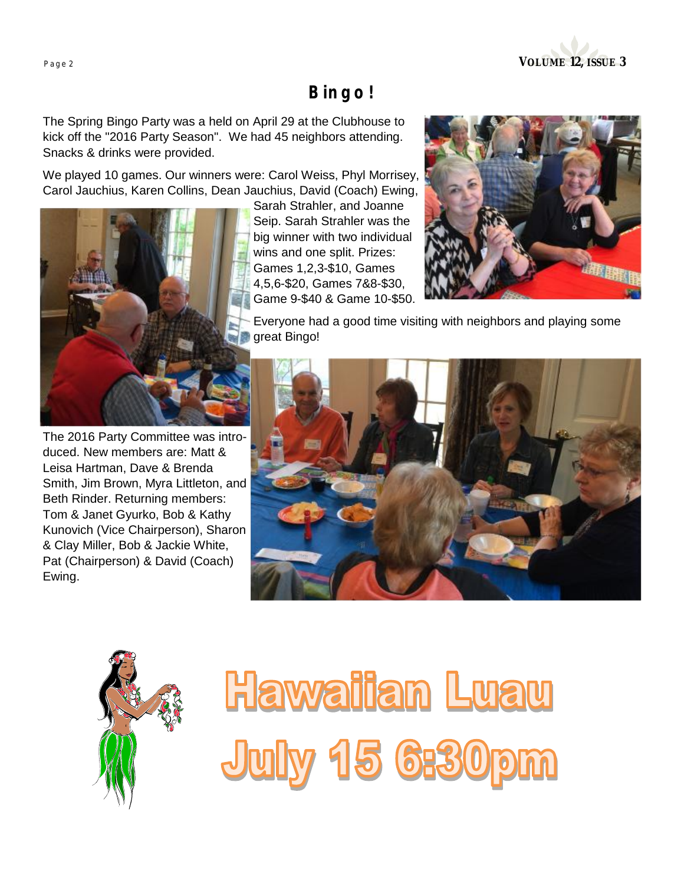

# *Bingo!*

The Spring Bingo Party was a held on April 29 at the Clubhouse to kick off the "2016 Party Season". We had 45 neighbors attending. Snacks & drinks were provided.

We played 10 games. Our winners were: Carol Weiss, Phyl Morrisey, Carol Jauchius, Karen Collins, Dean Jauchius, David (Coach) Ewing,



The 2016 Party Committee was introduced. New members are: Matt & Leisa Hartman, Dave & Brenda Smith, Jim Brown, Myra Littleton, and Beth Rinder. Returning members: Tom & Janet Gyurko, Bob & Kathy Kunovich (Vice Chairperson), Sharon & Clay Miller, Bob & Jackie White, Pat (Chairperson) & David (Coach) Ewing.

Sarah Strahler, and Joanne Seip. Sarah Strahler was the big winner with two individual wins and one split. Prizes: Games 1,2,3-\$10, Games 4,5,6-\$20, Games 7&8-\$30, Game 9-\$40 & Game 10-\$50.



Everyone had a good time visiting with neighbors and playing some great Bingo!





**Hawaiian Luau July 15 6:30p**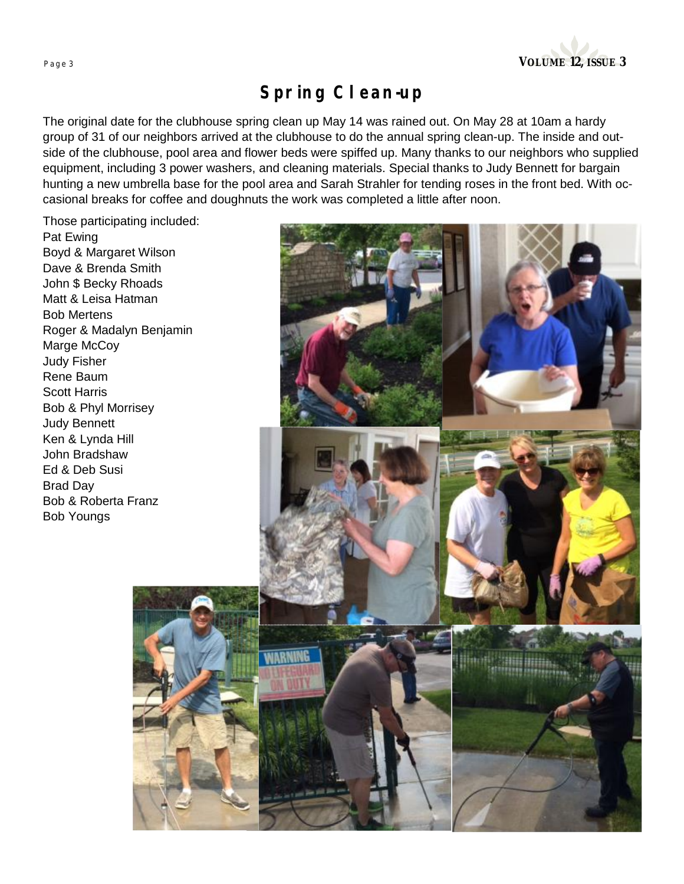

# *Spring Clean-up*

The original date for the clubhouse spring clean up May 14 was rained out. On May 28 at 10am a hardy group of 31 of our neighbors arrived at the clubhouse to do the annual spring clean-up. The inside and outside of the clubhouse, pool area and flower beds were spiffed up. Many thanks to our neighbors who supplied equipment, including 3 power washers, and cleaning materials. Special thanks to Judy Bennett for bargain hunting a new umbrella base for the pool area and Sarah Strahler for tending roses in the front bed. With occasional breaks for coffee and doughnuts the work was completed a little after noon.

Those participating included: Pat Ewing Boyd & Margaret Wilson Dave & Brenda Smith John \$ Becky Rhoads Matt & Leisa Hatman Bob Mertens Roger & Madalyn Benjamin Marge McCoy Judy Fisher Rene Baum Scott Harris Bob & Phyl Morrisey Judy Bennett Ken & Lynda Hill John Bradshaw Ed & Deb Susi Brad Day Bob & Roberta Franz Bob Youngs

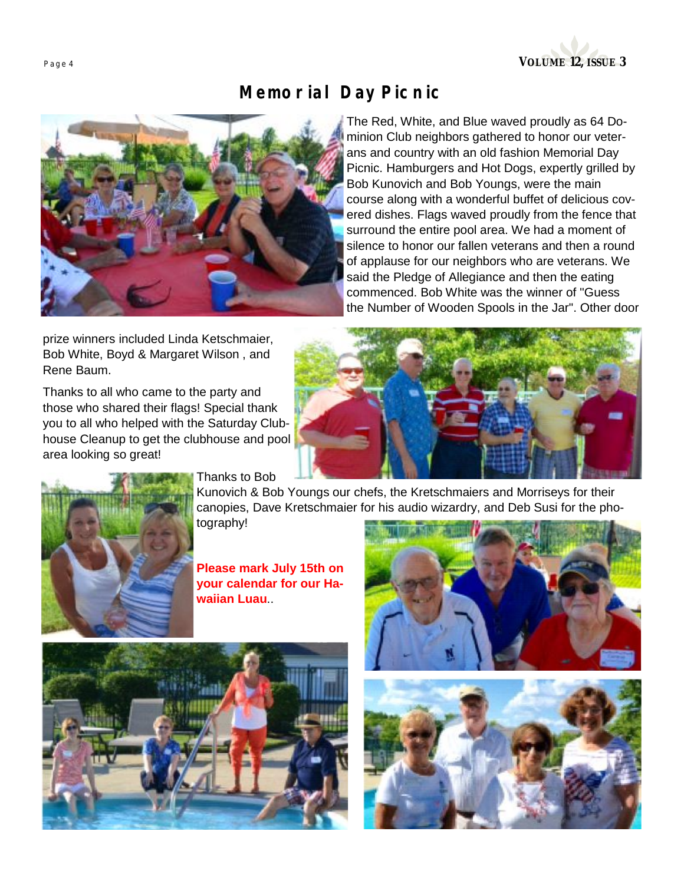

# *Memorial Day Picnic*



The Red, White, and Blue waved proudly as 64 Dominion Club neighbors gathered to honor our veterans and country with an old fashion Memorial Day Picnic. Hamburgers and Hot Dogs, expertly grilled by Bob Kunovich and Bob Youngs, were the main course along with a wonderful buffet of delicious covered dishes. Flags waved proudly from the fence that surround the entire pool area. We had a moment of silence to honor our fallen veterans and then a round of applause for our neighbors who are veterans. We said the Pledge of Allegiance and then the eating commenced. Bob White was the winner of "Guess the Number of Wooden Spools in the Jar". Other door

prize winners included Linda Ketschmaier, Bob White, Boyd & Margaret Wilson , and Rene Baum.

Thanks to all who came to the party and those who shared their flags! Special thank you to all who helped with the Saturday Clubhouse Cleanup to get the clubhouse and pool area looking so great!





Thanks to Bob

Kunovich & Bob Youngs our chefs, the Kretschmaiers and Morriseys for their canopies, Dave Kretschmaier for his audio wizardry, and Deb Susi for the photography!

**Please mark July 15th on your calendar for our Hawaiian Luau**..





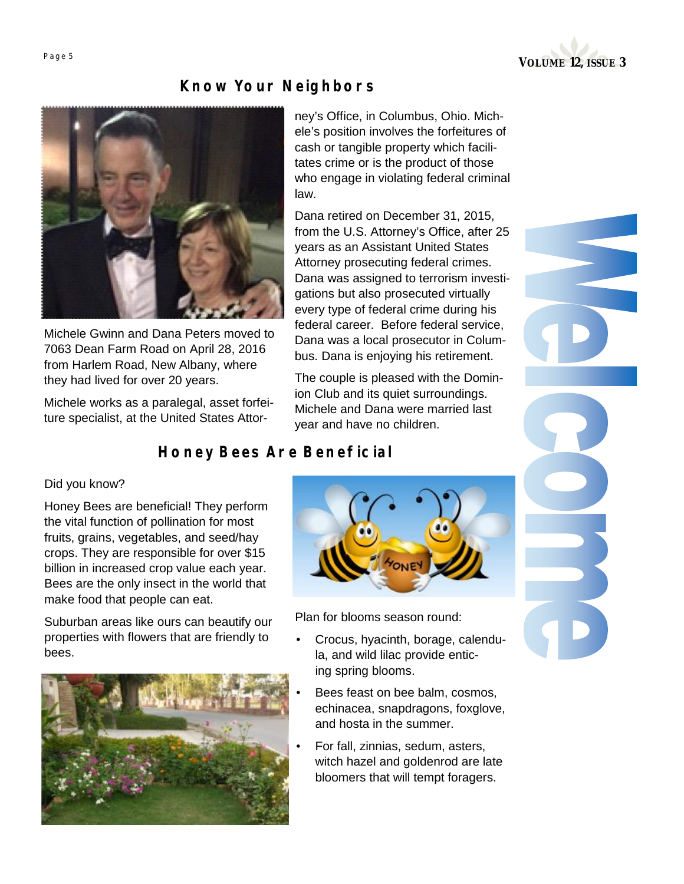

# *Know Your Neighbors*



Michele Gwinn and Dana Peters moved to 7063 Dean Farm Road on April 28, 2016 from Harlem Road, New Albany, where they had lived for over 20 years.

Michele works as a paralegal, asset forfeiture specialist, at the United States Attorney's Office, in Columbus, Ohio. Michele's position involves the forfeitures of cash or tangible property which facilitates crime or is the product of those who engage in violating federal criminal law.

Dana retired on December 31, 2015, from the U.S. Attorney's Office, after 25 years as an Assistant United States Attorney prosecuting federal crimes. Dana was assigned to terrorism investigations but also prosecuted virtually every type of federal crime during his federal career. Before federal service, Dana was a local prosecutor in Columbus. Dana is enjoying his retirement.

The couple is pleased with the Dominion Club and its quiet surroundings. Michele and Dana were married last year and have no children.

# *Honey Bees Are Beneficial*

### Did you know?

Honey Bees are beneficial! They perform the vital function of pollination for most fruits, grains, vegetables, and seed/hay crops. They are responsible for over \$15 billion in increased crop value each year. Bees are the only insect in the world that make food that people can eat.

Suburban areas like ours can beautify our properties with flowers that are friendly to bees.





Plan for blooms season round:

- Crocus, hyacinth, borage, calendula, and wild lilac provide enticing spring blooms.
- Bees feast on bee balm, cosmos, echinacea, snapdragons, foxglove, and hosta in the summer.
- For fall, zinnias, sedum, asters, witch hazel and goldenrod are late bloomers that will tempt foragers.